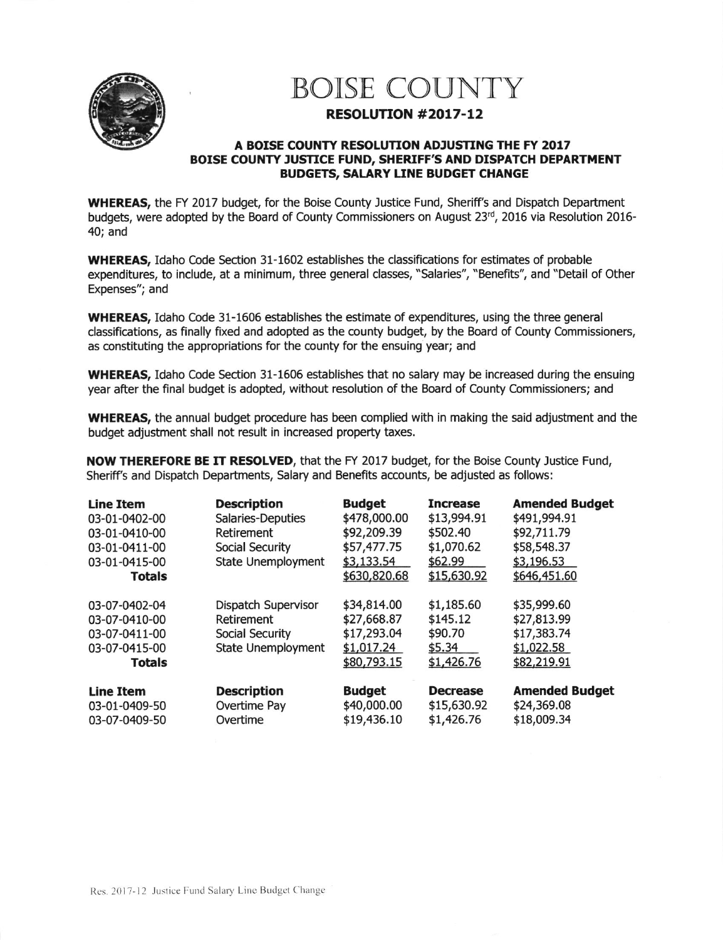

## BOISE COUNTY

## RESOLUTION #2017-12

## A BOISE COUNTY RESOLUTION ADJUSTING THE FY 2017 BOISE COUNTY JUSTICE FUND, SHERIFF'S AND DISPATCH DEPARTMENT BUDGETS, SALARY LINE BUDGET CHANGE

WHEREAS, the FY 2017 budget, for the Boise County Justice Fund, Sheriff's and Dispatch Department budgets, were adopted by the Board of County Commissioners on August 23rd, 2016 via Resolution 2016-40; and

WHEREAS, Idaho Code Section 31-1602 establishes the classifications for estimates of probable expenditures, to include, at a minimum, three general classes, "Salaries", "Benefits", and "Detail of Other Expenses"; and

WHEREAS, Idaho code 31-1606 establishes the estimate of expenditures, using the three general classifications, as finally fixed and adopted as the county budget, by the Board of County Commissioners, as constituting the appropriations for the county for the ensuing year; and

WHEREAS, Idaho Code Section 31-1606 establishes that no salary may be increased during the ensuing year after the final budget is adopted, without resolution of the Board of County Commissioners; and

WHEREAS, the annual budget procedure has been complied with in making the said adjustment and the budget adjustment shall not result in increased property taxes.

NOW THEREFORE BE IT RESOLVED, that the FY 2017 budget, for the Boise County lustice Fund, Sheriff's and Dispatch Departments, Salary and Benefits accounts, be adjusted as follows:

| <b>Line Item</b><br>03-01-0402-00<br>03-01-0410-00<br>03-01-0411-00<br>03-01-0415-00<br><b>Totals</b> | <b>Description</b><br>Salaries-Deputies<br>Retirement<br>Social Security<br>State Unemployment | <b>Budget</b><br>\$478,000.00<br>\$92,209.39<br>\$57,477.75<br>\$3,133.54<br>\$630,820.68 | <b>Increase</b><br>\$13,994.91<br>\$502.40<br>\$1,070.62<br>\$62.99<br>\$15,630.92 | <b>Amended Budget</b><br>\$491,994.91<br>\$92,711.79<br>\$58,548.37<br>\$3,196.53<br>\$646,451.60 |
|-------------------------------------------------------------------------------------------------------|------------------------------------------------------------------------------------------------|-------------------------------------------------------------------------------------------|------------------------------------------------------------------------------------|---------------------------------------------------------------------------------------------------|
| 03-07-0402-04<br>03-07-0410-00<br>03-07-0411-00<br>03-07-0415-00<br><b>Totals</b>                     | Dispatch Supervisor<br>Retirement<br>Social Security<br><b>State Unemployment</b>              | \$34,814.00<br>\$27,668.87<br>\$17,293.04<br>\$1,017.24<br>\$80,793.15                    | \$1,185.60<br>\$145.12<br>\$90.70<br>\$5.34<br>\$1,426.76                          | \$35,999.60<br>\$27,813.99<br>\$17,383.74<br>\$1,022.58<br>\$82,219.91                            |
| <b>Line Item</b><br>03-01-0409-50<br>03-07-0409-50                                                    | <b>Description</b><br>Overtime Pay<br>Overtime                                                 | <b>Budget</b><br>\$40,000.00<br>\$19,436.10                                               | <b>Decrease</b><br>\$15,630.92<br>\$1,426.76                                       | <b>Amended Budget</b><br>\$24,369.08<br>\$18,009.34                                               |